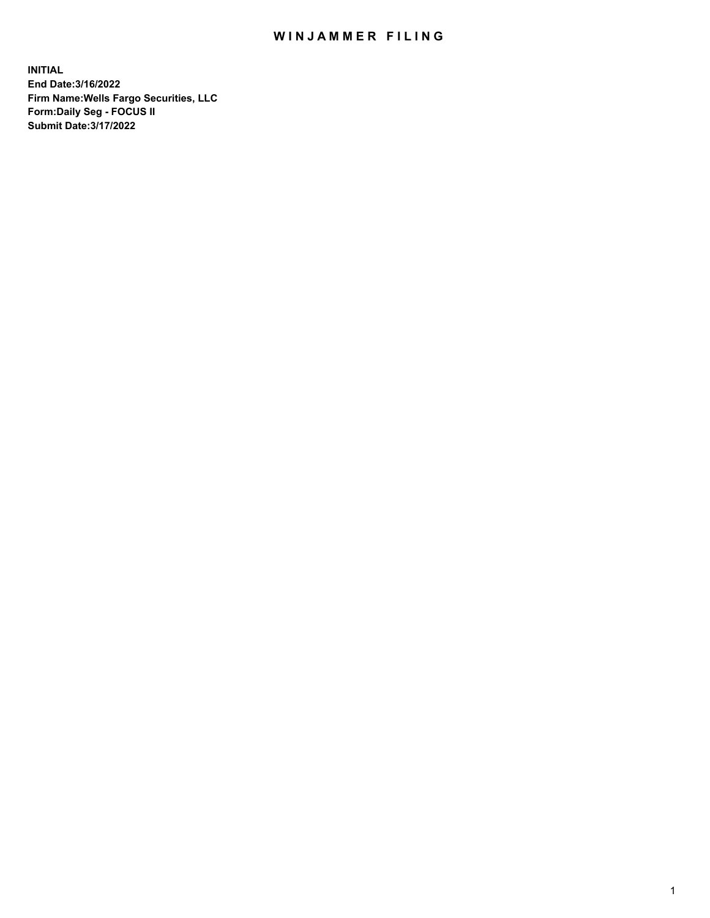## WIN JAMMER FILING

**INITIAL End Date:3/16/2022 Firm Name:Wells Fargo Securities, LLC Form:Daily Seg - FOCUS II Submit Date:3/17/2022**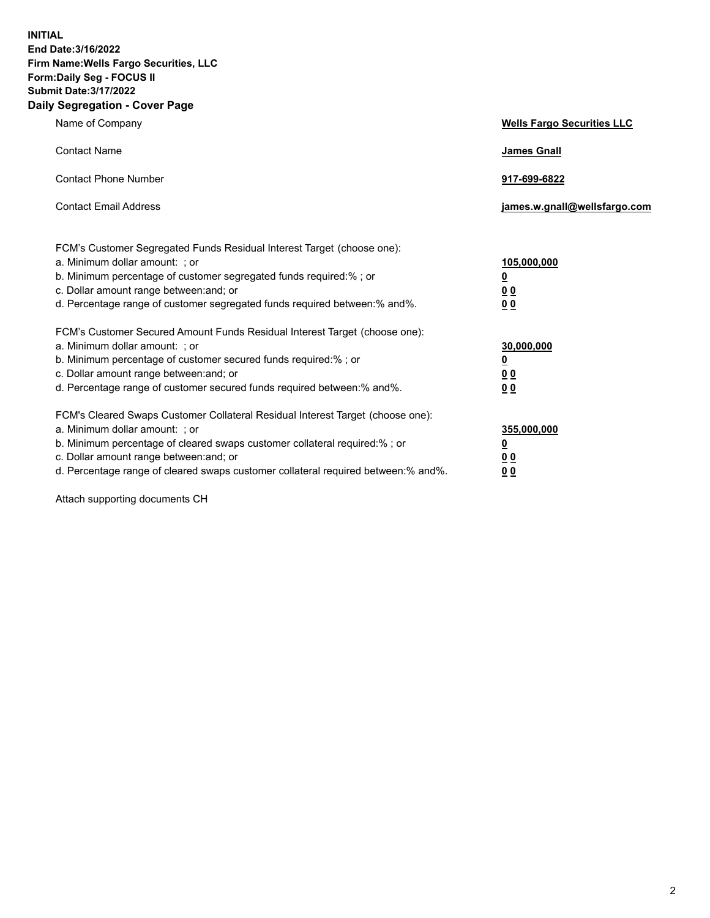**INITIAL End Date:3/16/2022 Firm Name:Wells Fargo Securities, LLC Form:Daily Seg - FOCUS II Submit Date:3/17/2022 Daily Segregation - Cover Page**

| Name of Company                                                                                                                                                                                                                                                                                                                | <b>Wells Fargo Securities LLC</b>                          |
|--------------------------------------------------------------------------------------------------------------------------------------------------------------------------------------------------------------------------------------------------------------------------------------------------------------------------------|------------------------------------------------------------|
| <b>Contact Name</b>                                                                                                                                                                                                                                                                                                            | <b>James Gnall</b>                                         |
| <b>Contact Phone Number</b>                                                                                                                                                                                                                                                                                                    | 917-699-6822                                               |
| <b>Contact Email Address</b>                                                                                                                                                                                                                                                                                                   | james.w.gnall@wellsfargo.com                               |
| FCM's Customer Segregated Funds Residual Interest Target (choose one):<br>a. Minimum dollar amount: ; or<br>b. Minimum percentage of customer segregated funds required:% ; or<br>c. Dollar amount range between: and; or<br>d. Percentage range of customer segregated funds required between:% and%.                         | 105,000,000<br><u>0</u><br>0 <sub>0</sub><br>00            |
| FCM's Customer Secured Amount Funds Residual Interest Target (choose one):<br>a. Minimum dollar amount: ; or<br>b. Minimum percentage of customer secured funds required:%; or<br>c. Dollar amount range between: and; or<br>d. Percentage range of customer secured funds required between:% and%.                            | 30,000,000<br><u>0</u><br>0 <sub>0</sub><br>0 <sub>0</sub> |
| FCM's Cleared Swaps Customer Collateral Residual Interest Target (choose one):<br>a. Minimum dollar amount: ; or<br>b. Minimum percentage of cleared swaps customer collateral required:% ; or<br>c. Dollar amount range between: and; or<br>d. Percentage range of cleared swaps customer collateral required between:% and%. | 355,000,000<br><u>0</u><br>00<br>00                        |

Attach supporting documents CH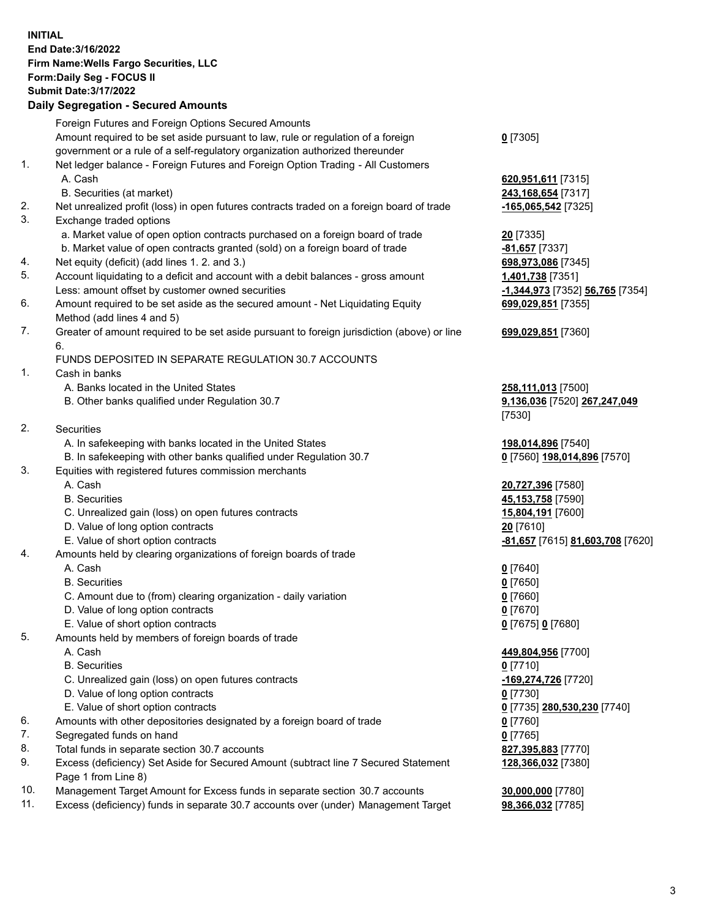**INITIAL End Date:3/16/2022 Firm Name:Wells Fargo Securities, LLC Form:Daily Seg - FOCUS II Submit Date:3/17/2022**

## **Daily Segregation - Secured Amounts**

|    | Foreign Futures and Foreign Options Secured Amounts                                                        |                                  |
|----|------------------------------------------------------------------------------------------------------------|----------------------------------|
|    | Amount required to be set aside pursuant to law, rule or regulation of a foreign                           | $Q$ [7305]                       |
|    | government or a rule of a self-regulatory organization authorized thereunder                               |                                  |
| 1. | Net ledger balance - Foreign Futures and Foreign Option Trading - All Customers                            |                                  |
|    | A. Cash                                                                                                    | 620,951,611 [7315]               |
|    | B. Securities (at market)                                                                                  | 243,168,654 [7317]               |
| 2. | Net unrealized profit (loss) in open futures contracts traded on a foreign board of trade                  | $-165,065,542$ [7325]            |
| 3. | Exchange traded options                                                                                    |                                  |
|    | a. Market value of open option contracts purchased on a foreign board of trade                             | <b>20</b> [7335]                 |
|    | b. Market value of open contracts granted (sold) on a foreign board of trade                               | -81,657 [7337]                   |
| 4. | Net equity (deficit) (add lines 1. 2. and 3.)                                                              | 698,973,086 [7345]               |
| 5. | Account liquidating to a deficit and account with a debit balances - gross amount                          | 1,401,738 [7351]                 |
|    | Less: amount offset by customer owned securities                                                           | -1,344,973 [7352] 56,765 [7354]  |
| 6. | Amount required to be set aside as the secured amount - Net Liquidating Equity                             | 699,029,851 [7355]               |
|    | Method (add lines 4 and 5)                                                                                 |                                  |
| 7. | Greater of amount required to be set aside pursuant to foreign jurisdiction (above) or line                | 699,029,851 [7360]               |
|    | 6.                                                                                                         |                                  |
|    | FUNDS DEPOSITED IN SEPARATE REGULATION 30.7 ACCOUNTS                                                       |                                  |
| 1. | Cash in banks                                                                                              |                                  |
|    | A. Banks located in the United States                                                                      | 258,111,013 [7500]               |
|    | B. Other banks qualified under Regulation 30.7                                                             | 9,136,036 [7520] 267,247,049     |
|    |                                                                                                            | [7530]                           |
| 2. | Securities                                                                                                 |                                  |
|    | A. In safekeeping with banks located in the United States                                                  | 198,014,896 [7540]               |
|    | B. In safekeeping with other banks qualified under Regulation 30.7                                         | 0 [7560] 198,014,896 [7570]      |
| 3. | Equities with registered futures commission merchants                                                      |                                  |
|    | A. Cash                                                                                                    | 20,727,396 [7580]                |
|    | <b>B.</b> Securities                                                                                       | 45,153,758 [7590]                |
|    | C. Unrealized gain (loss) on open futures contracts                                                        | 15,804,191 [7600]                |
|    | D. Value of long option contracts                                                                          | 20 [7610]                        |
|    | E. Value of short option contracts                                                                         | -81,657 [7615] 81,603,708 [7620] |
| 4. | Amounts held by clearing organizations of foreign boards of trade                                          |                                  |
|    | A. Cash                                                                                                    | $0$ [7640]                       |
|    | <b>B.</b> Securities                                                                                       | $0$ [7650]                       |
|    | C. Amount due to (from) clearing organization - daily variation                                            | $0$ [7660]                       |
|    | D. Value of long option contracts                                                                          | $0$ [7670]                       |
|    | E. Value of short option contracts                                                                         | 0 [7675] 0 [7680]                |
| 5. | Amounts held by members of foreign boards of trade                                                         |                                  |
|    | A. Cash                                                                                                    | 449,804,956 [7700]               |
|    | <b>B.</b> Securities                                                                                       | $0$ [7710]                       |
|    | C. Unrealized gain (loss) on open futures contracts                                                        | -169,274,726 [7720]              |
|    | D. Value of long option contracts                                                                          | $0$ [7730]                       |
|    | E. Value of short option contracts                                                                         | 0 [7735] 280,530,230 [7740]      |
| 6. | Amounts with other depositories designated by a foreign board of trade                                     | 0 [7760]                         |
| 7. | Segregated funds on hand                                                                                   | $0$ [7765]                       |
| 8. | Total funds in separate section 30.7 accounts                                                              | 827,395,883 [7770]               |
| 9. | Excess (deficiency) Set Aside for Secured Amount (subtract line 7 Secured Statement<br>Page 1 from Line 8) | 128,366,032 [7380]               |
|    |                                                                                                            |                                  |

- 10. Management Target Amount for Excess funds in separate section 30.7 accounts **30,000,000** [7780]
- 11. Excess (deficiency) funds in separate 30.7 accounts over (under) Management Target **98,366,032** [7785]

3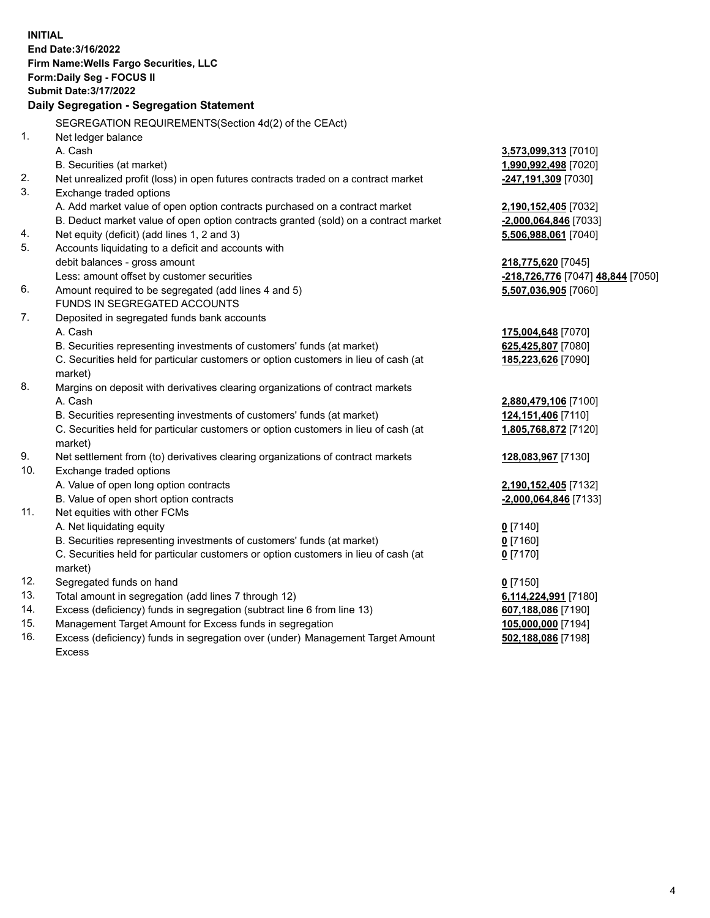**INITIAL End Date:3/16/2022 Firm Name:Wells Fargo Securities, LLC Form:Daily Seg - FOCUS II Submit Date:3/17/2022 Daily Segregation - Segregation Statement** SEGREGATION REQUIREMENTS(Section 4d(2) of the CEAct) 1. Net ledger balance A. Cash **3,573,099,313** [7010] B. Securities (at market) **1,990,992,498** [7020] 2. Net unrealized profit (loss) in open futures contracts traded on a contract market **-247,191,309** [7030] 3. Exchange traded options A. Add market value of open option contracts purchased on a contract market **2,190,152,405** [7032] B. Deduct market value of open option contracts granted (sold) on a contract market **-2,000,064,846** [7033] 4. Net equity (deficit) (add lines 1, 2 and 3) **5,506,988,061** [7040] 5. Accounts liquidating to a deficit and accounts with debit balances - gross amount **218,775,620** [7045] Less: amount offset by customer securities **and the securities <b>-218,726,776** [7047] **48,844** [7050] 6. Amount required to be segregated (add lines 4 and 5) **5,507,036,905** [7060] FUNDS IN SEGREGATED ACCOUNTS 7. Deposited in segregated funds bank accounts A. Cash **175,004,648** [7070] B. Securities representing investments of customers' funds (at market) **625,425,807** [7080] C. Securities held for particular customers or option customers in lieu of cash (at market) **185,223,626** [7090] 8. Margins on deposit with derivatives clearing organizations of contract markets A. Cash **2,880,479,106** [7100] B. Securities representing investments of customers' funds (at market) **124,151,406** [7110] C. Securities held for particular customers or option customers in lieu of cash (at market) **1,805,768,872** [7120] 9. Net settlement from (to) derivatives clearing organizations of contract markets **128,083,967** [7130] 10. Exchange traded options A. Value of open long option contracts **2,190,152,405** [7132] B. Value of open short option contracts **-2,000,064,846** [7133] 11. Net equities with other FCMs A. Net liquidating equity **0** [7140] B. Securities representing investments of customers' funds (at market) **0** [7160] C. Securities held for particular customers or option customers in lieu of cash (at market) **0** [7170] 12. Segregated funds on hand **0** [7150] 13. Total amount in segregation (add lines 7 through 12) **6,114,224,991** [7180] 14. Excess (deficiency) funds in segregation (subtract line 6 from line 13) **607,188,086** [7190] 15. Management Target Amount for Excess funds in segregation **105,000,000** [7194] 16. Excess (deficiency) funds in segregation over (under) Management Target Amount **502,188,086** [7198]

Excess